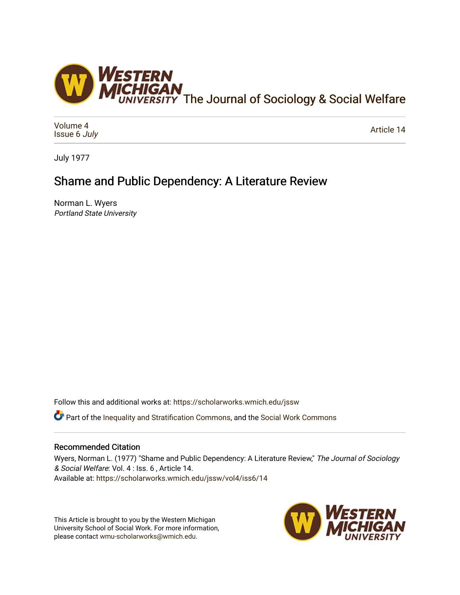

[Volume 4](https://scholarworks.wmich.edu/jssw/vol4) [Issue 6](https://scholarworks.wmich.edu/jssw/vol4/iss6) July

[Article 14](https://scholarworks.wmich.edu/jssw/vol4/iss6/14) 

July 1977

# Shame and Public Dependency: A Literature Review

Norman L. Wyers Portland State University

Follow this and additional works at: [https://scholarworks.wmich.edu/jssw](https://scholarworks.wmich.edu/jssw?utm_source=scholarworks.wmich.edu%2Fjssw%2Fvol4%2Fiss6%2F14&utm_medium=PDF&utm_campaign=PDFCoverPages) 

**C** Part of the [Inequality and Stratification Commons](http://network.bepress.com/hgg/discipline/421?utm_source=scholarworks.wmich.edu%2Fjssw%2Fvol4%2Fiss6%2F14&utm_medium=PDF&utm_campaign=PDFCoverPages), and the [Social Work Commons](http://network.bepress.com/hgg/discipline/713?utm_source=scholarworks.wmich.edu%2Fjssw%2Fvol4%2Fiss6%2F14&utm_medium=PDF&utm_campaign=PDFCoverPages)

## Recommended Citation

Wyers, Norman L. (1977) "Shame and Public Dependency: A Literature Review," The Journal of Sociology & Social Welfare: Vol. 4 : Iss. 6 , Article 14. Available at: [https://scholarworks.wmich.edu/jssw/vol4/iss6/14](https://scholarworks.wmich.edu/jssw/vol4/iss6/14?utm_source=scholarworks.wmich.edu%2Fjssw%2Fvol4%2Fiss6%2F14&utm_medium=PDF&utm_campaign=PDFCoverPages)

This Article is brought to you by the Western Michigan University School of Social Work. For more information, please contact [wmu-scholarworks@wmich.edu.](mailto:wmu-scholarworks@wmich.edu)

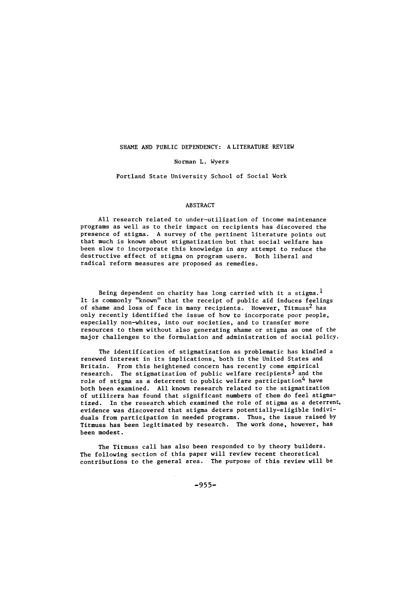#### SHAME AND PUBLIC DEPENDENCY: A LITERATURE REVIEW

Norman L. Wyers

Portland State University School of Social Work

### ABSTRACT

All research related to under-utilization of income maintenance programs as well as to their impact on recipients has discovered the presence of stigma. A survey of the pertinent literature points out that much is known about stigmatization but that social welfare has been slow to incorporate this knowledge in any attempt to reduce the destructive effect of stigma on program users. Both liberal and radical reform measures are proposed as remedies.

Being dependent on charity has long carried with it a stigma.<sup>1</sup> It is commonly "known" that the receipt of public aid induces feelings of shame and loss of face in many recipients. However, Titmuss<sup>2</sup> has only recently identified the issue of how to incorporate poor people, especially non-whites, into our societies, and to transfer more resources to them without also generating shame or stigma as one of the major challenges to the formulation and administration of social policy.

The identification of stigmatization as problematic has kindled a renewed interest in its implications, both in the United States and Britain. From this heightened concern has recently come empirical research. The stigmatization of public welfare recipients<sup>3</sup> and the role of stigma as a deterrent to public welfare participation<sup>4</sup> have both been examined. All known research related to the stigmatization of utilizers has found that significant numbers of them do feel stigmatized. In the research which examined the role of stigma as a deterrent, evidence was discovered that stigma deters potentially-eligible individuals from participation in needed programs. Thus, the issue raised by Titmuss has been legitimated by research. The work done, however, has been modest.

The Titmuss call has also been responded to by theory builders. The following section of this paper will review recent theoretical contributions to the general area. The purpose of this review will be

**-955-**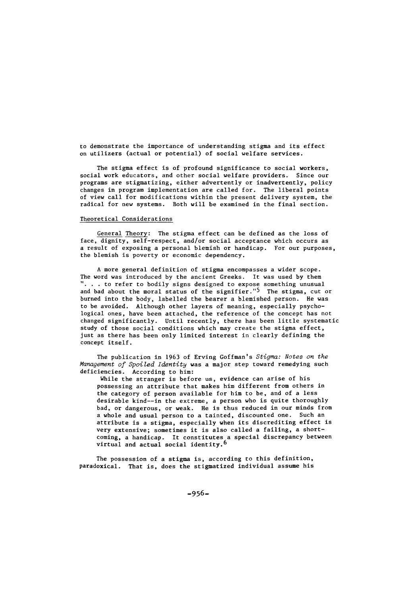to demonstrate the importance of understanding stigma and its effect on utilizers (actual or potential) of social welfare services.

The stigma effect is of profound significance to social workers, social work educators, and other social welfare providers. Since our programs are stigmatizing, either advertently or inadvertently, policy changes in program implementation are called for. The liberal points of view call for modifications within the present delivery system, the radical for new systems. Both will be examined in the final section.

#### Theoretical Considerations

General Theory: The stigma effect can be defined as the loss of face, dignity, self-respect, and/or social acceptance which occurs as a result of exposing a personal blemish or handicap. For our purposes, the blemish is poverty or economic dependency.

A more general definition of stigma encompasses a wider scope. The word was introduced by the ancient Greeks. It was used by them **. . .** to refer to bodily signs designed to expose something unusual and bad about the moral status of the signifier."<sup>5</sup> The stigma, cut or burned into the body, labelled the bearer a blemished person. He was to be avoided. Although other layers of meaning, especially psychological ones, have been attached, the reference of the concept has not changed significantly. Until recently, there has been little systematic study of those social conditions which may create the stigma effect, just as there has been only limited interest in clearly defining the concept itself.

The publication in 1963 of Erving Goffman's Stigma: Notes on the Management of Spoiled Identity was a major step toward remedying such deficiencies. According to him:

While the stranger is before us, evidence can arise of his possessing an attribute that makes him different from others in the category of person available for him to be, and of a less desirable kind--in the extreme, a person who is quite thoroughly bad, or dangerous, or weak. He is thus reduced in our minds from a whole and usual person to a tainted, discounted one. Such an attribute is a stigma, especially when its discrediting effect is very extensive; sometimes it is also called a failing, a shortcoming, a handicap. It constitutes a special discrepancy between virtual and actual social identity. <sup>6</sup>

The possession of a stigma is, according to this definition, paradoxical. That is, does the stigmatized individual assume his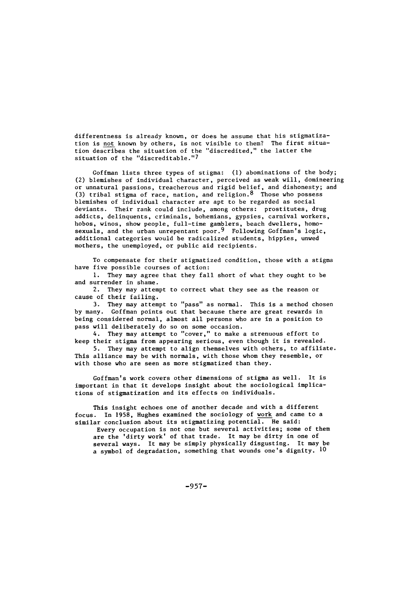differentness is already known, or does he assume that his stigmatization is not known by others, is not visible to them? The first situation describes the situation of the "discredited," the latter the situation of the "discreditable."7

Goffman lists three types of stigma: **(1)** abominations of the body; (2) blemishes of individual character, perceived as weak will, domineering or unnatural passions, treacherous and rigid belief, and dishonesty; and (3) tribal stigma of race, nation, and religion. <sup>8</sup> Those who possess blemishes of individual character are apt to be regarded as social deviants. Their rank could include, among others: prostitutes, drug addicts, delinquents, criminals, bohemians, gypsies, carnival workers, hobos, winos, show people, full-time gamblers, beach dwellers, homosexuals, and the urban unrepentant poor.<sup>9</sup> Following Goffman's logic, additional categories would be radicalized students, hippies, unwed mothers, the unemployed, or public aid recipients.

To compensate for their stigmatized condition, those with a stigma have five possible courses of action:

**1.** They may agree that they fall short of what they ought to be and surrender in shame.

2. They may attempt to correct what they see as the reason or cause of their failing.

3. They may attempt to "pass" as normal. This is a method chosen by many. Goffman points out that because there are great rewards in being considered normal, almost all persons who are in a position to pass will deliberately do so on some occasion.

4. They may attempt to "cover," to make a strenuous effort to keep their stigma from appearing serious, even though it is revealed.

5. They may attempt to align themselves with others, to affiliate. This alliance may be with normals, with those whom they resemble, or with those who are seen as more stigmatized than they.

Goffman's work covers other dimensions of stigma as well. It is important in that it develops insight about the sociological implications of stigmatization and its effects on individuals.

This insight echoes one of another decade and with a different focus. In 1958, Hughes examined the sociology of work and came to a similar conclusion about its stigmatizing potential. He said:

Every occupation is not one but several activities; some of them are the 'dirty work' of that trade. It may be dirty in one of several ways. It may be simply physically disgusting. It may be a symbol of degradation, something that wounds one's dignity. **10**

-957-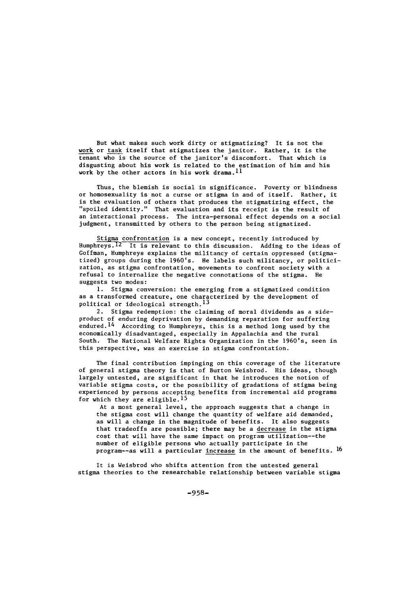But what makes such work dirty or stigmatizing? It is not the work or task itself that stigmatizes the janitor. Rather, it is the tenant who is the source of the janitor's discomfort. That which is disgusting about his work is related to the estimation of him and his work by the other actors in his work drama.<sup>11</sup>

Thus, the blemish is social in significance. Poverty or blindness or homosexuality is not a curse or stigma in and of itself. Rather, it is the evaluation of others that produces the stigmatizing effect, the "spoiled identity." That evaluation and its receipt is the result of an interactional process. The intra-personal effect depends on a social judgment, transmitted by others to the person being stigmatized.

Stigma confrontation is a new concept, recently introduced by Humphreys.<sup>12</sup> It is relevant to this discussion. Adding to the ideas of Goffman, Humphreys explains the militancy of certain oppressed (stigmatized) groups during the 1960's. He labels such militancy, or politicization, as stigma confrontation, movements to confront society with a refusal to internalize the negative connotations of the stigma. He suggests two modes:

**1.** Stigma conversion: the emerging from a stigmatized condition as a transformed creature, one characterized by the development of political or ideological strength.  $^{13}$ 

2. Stigma redemption: the claiming of moral dividends as a sideproduct of enduring deprivation by demanding reparation for suffering endured. 14 According to Humphreys, this is a method long used by the economically disadvantaged, especially in Appalachia and the rural South. The National Welfare Rights Organization in the 1960's, seen in this perspective, was an exercise in stigma confrontation.

The final contribution impinging on this coverage of the literature of general stigma theory is that of Burton Weisbrod. His ideas, though largely untested, are significant in that he introduces the notion of variable stigma costs, or the possibility of gradations of stigma being experienced by persons accepting benefits from incremental aid programs for which they are eligible. <sup>15</sup>

At a most general level, the approach suggests that a change in the stigma cost will change the quantity of welfare aid demanded, as will a change in the magnitude of benefits. It also suggests that tradeoffs are possible; there may be a decrease in the stigma cost that will have the same impact on program utilization--the number of eligible persons who actually participate in the program--as will a particular increase in the amount of benefits. <sup>16</sup>

It is Weisbrod who shifts attention from the untested general stigma theories to the researchable relationship between variable stigma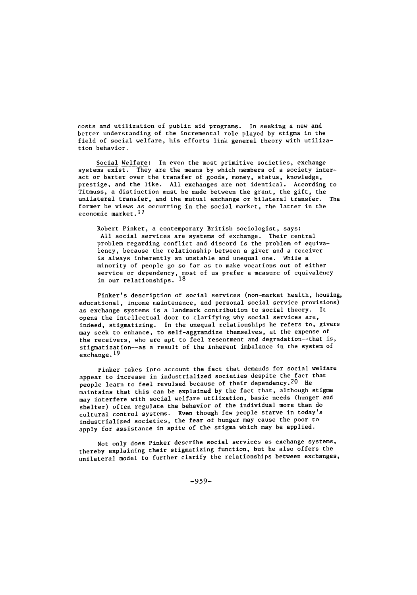costs and utilization of public aid programs. In seeking a new and better understanding of the incremental role played by stigma in the field of social welfare, his efforts link general theory with utilization behavior.

Social Welfare: In even the most primitive societies, exchange systems exist. They are the means by which members of a society interact or barter over the transfer of goods, money, status, knowledge, prestige, and the like. All exchanges are not identical. According to Titmuss, a distinction must be made between the grant, the gift, the unilateral transfer, and the mutual exchange or bilateral transfer. The former he views as occurring in the social market, the latter in the economic market.17

Robert Pinker, a contemporary British sociologist, says: All social services are systems of exchange. Their central problem regarding conflict and discord is the problem of equivalency, because the relationship between a giver and a receiver is always inherently an unstable and unequal one. While a minority of people go so far as to make vocations out of either service or dependency, most of us prefer a measure of equivalency in our relationships. **18**

Pinker's description of social services (non-market health, housing, educational, income maintenance, and personal social service provisions) as exchange systems is a landmark contribution to social theory. It opens the intellectual door to clarifying why social services are, indeed, stigmatizing. In the unequal relationships he refers to, givers may seek to enhance, to self-aggrandize themselves, at the expense of the receivers, who are apt to feel resentment and degradation--that is, stigmatization--as a result of the inherent imbalance in the system of exchange.19

Pinker takes into account the fact that demands for social welfare appear to increase in industrialized societies despite the fact that people learn to feel revulsed because of their dependency. 20 He maintains that this can be explained by the fact that, although stigma may interfere with social welfare utilization, basic needs (hunger and shelter) often regulate the behavior of the individual more than do cultural control systems. Even though few people starve in today's industrialized societies, the fear of hunger may cause the poor to apply for assistance in spite of the stigma which may be applied.

Not only does Pinker describe social services as exchange systems, thereby explaining their stigmatizing function, but he also offers the unilateral model to further clarify the relationships between exchanges,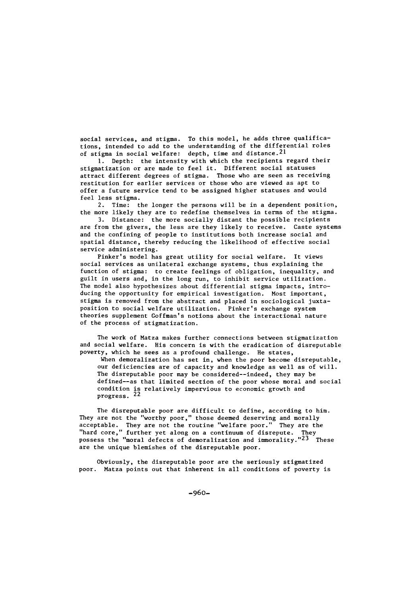social services, and stigma. To this model, he adds three qualifications, intended to add to the understanding of the differential roles of stigma in social welfare: depth, time and distance.<sup>2</sup>

**1.** Depth: the intensity with which the recipients regard their stigmatization or are made to feel it. Different social statuses attract different degrees of stigma. Those who are seen as receiving restitution for earlier services or those who are viewed as apt to offer a future service tend to be assigned higher statuses and would feel less stigma.

2. Time: the longer the persons will be in a dependent position, the more likely they are to redefine themselves in terms of the stigma.

3. Distance: the more socially distant the possible recipients are from the givers, the less are they likely to receive. Caste systems and the confining of people to institutions both increase social and spatial distance, thereby reducing the likelihood of effective social service administering.

Pinker's model has great utility for social welfare. It views social services as unilateral exchange systems, thus explaining the function of stigma: to create feelings of obligation, inequality, and guilt in users and, in the long run, to inhibit service utilization. The model also hypothesizes about differential stigma impacts, introducing the opportunity for empirical investigation. Most important, stigma is removed from the abstract and placed in sociological juxtaposition to social welfare utilization. Pinker's exchange system theories supplement Goffman's notions about the interactional nature of the process of stigmatization.

The work of Matza makes further connections between stigmatization and social welfare. His concern is with the eradication of disreputable poverty, which he sees as a profound challenge. He states, When demoralization has set in, when the poor become disreputable, our deficiencies are of capacity and knowledge as well as of will.

The disreputable poor may be considered--indeed, they may be defined--as that limited section of the poor whose moral and social condition is relatively impervious to economic growth and progress. 22

The disreputable poor are difficult to define, according to him. They are not the "worthy poor," those deemed deserving and morally acceptable. They are not the routine "welfare poor." They are the "hard core," further yet along on a continuum of disrepute. They<br>possess the "moral defects of demoralization and immorality."<sup>23</sup> These are the unique blemishes of the disreputable poor.

Obviously, the disreputable poor are the seriously stigmatized poor. Matza points out that inherent in all conditions of poverty is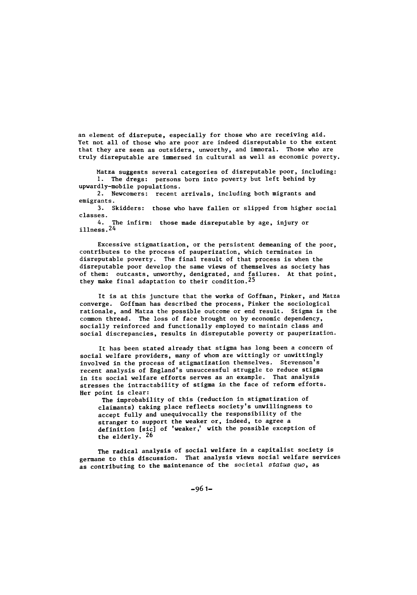an element of disrepute, especially for those who are receiving aid. Yet not all of those who are poor are indeed disreputable to the extent that they are seen as outsiders, unworthy, and immoral. Those who are truly disreputable are immersed in cultural as well as economic poverty.

Matza suggests several categories of disreputable poor, including: **1.** The dregs: persons born into poverty but left behind by upwardly-mobile populations.

2. Newcomers: recent arrivals, including both migrants and emigrants.

3. Skidders: those who have fallen or slipped from higher social classes.

4. The infirm: those made disreputable by age, injury or illness.24

Excessive stigmatization, or the persistent demeaning of the poor, contributes to the process of pauperization, which terminates in disreputable poverty. The final result of that process is when the disreputable poor develop the same views of themselves as society has of them: outcasts, unworthy, denigrated, and failures. At that point, they make final adaptation to their condition.<sup>25</sup>

It is at this juncture that the works of Goffman, Pinker, and Matza converge. Coffman has described the process, Pinker the sociological rationale, and Matza the possible outcome or end result. Stigma is the common thread. The loss of face brought on by economic dependency, socially reinforced and functionally employed to maintain class and social discrepancies, results in disreputable poverty or pauperization.

It has been stated already that stigma has long been a concern of social welfare providers, many of whom are wittingly or unwittingly involved in the process of stigmatization themselves. Stevenson's recent analysis of England's unsuccessful struggle to reduce stigma in its social welfare efforts serves as an example. That analysis stresses the intractability of stigma in the face of reform efforts. Her point is clear:

The improbability of this (reduction in stigmatization of claimants) taking place reflects society's unwillingness to accept fully and unequivocally the responsibility of the stranger to support the weaker or, indeed, to agree a definition [sic] of 'weaker,' with the possible exception of the elderly. 26

The radical analysis of social welfare in a capitalist society is germane to this discussion. That analysis views social welfare services as contributing to the maintenance of the societal status quo, as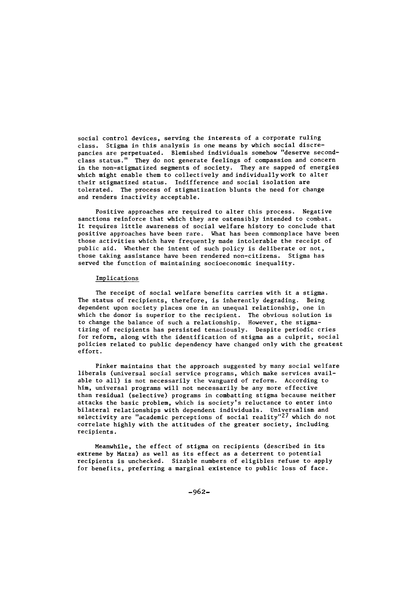social control devices, serving the interests of a corporate ruling class. Stigma in this analysis is one means **by** which social discrepancies are perpetuated. Blemished individuals somehow "deserve secondclass status." They do not generate feelings of compassion and concern in the non-stigmatized segments of society. They are sapped of energies which might enable them to collectively and individually work to alter their stigmatized status. Indifference and social isolation are tolerated. The process of stigmatization blunts the need for change and renders inactivity acceptable.

Positive approaches are required to alter this process. Negative sanctions reinforce that which they are ostensibly intended to combat. It requires little awareness of social welfare history to conclude that positive approaches have been rare. What has been commonplace have been those activities which have frequently made intolerable the receipt of public aid. Whether the intent of such policy is deliberate or not, those taking assistance have been rendered non-citizens. Stigma has served the function of maintaining socioeconomic inequality.

#### Implications

The receipt of social welfare benefits carries with it a stigma. The status of recipients, therefore, is inherently degrading. Being dependent upon society places one in an unequal relationship, one in which the donor is superior to the recipient. The obvious solution is to change the balance of such a relationship. However, the stigmatizing of recipients has persisted tenaciously. Despite periodic cries for reform, along with the identification of stigma as a culprit, social policies related to public dependency have changed only with the greatest effort.

Pinker maintains that the approach suggested **by** many social welfare liberals (universal social service programs, which make services available to all) is not necessarily the vanguard of reform. According to him, universal programs will not necessarily be any more effective than residual (selective) programs in combatting stigma because neither attacks the basic problem, which is society's reluctance to enter into bilateral relationships with dependent individuals. Universalism and selectivity are "academic perceptions of social reality" $27$  which do not correlate **highly** with the attitudes of the greater society, including recipients.

Meanwhile, the effect of stigma on recipients (described in its extreme **by** Matza) as well as its effect as a deterrent to potential recipients is unchecked. Sizable numbers of eligibles refuse to apply for benefits, preferring a marginal existence to public loss of face.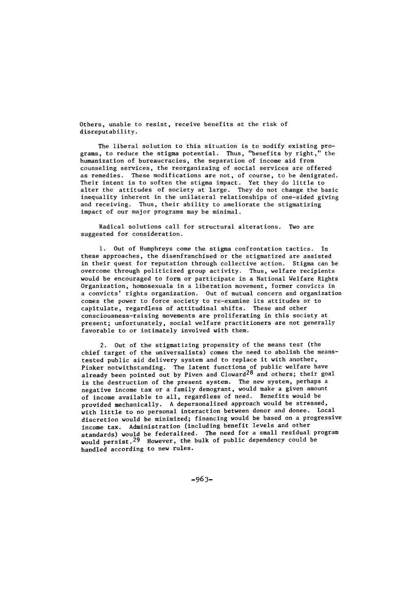Others, unable to resist, receive benefits at the risk of disreputability.

The liberal solution to this situation is to modify existing programs, to reduce the stigma potential. Thus, "benefits by right," the humanization of bureaucracies, the separation of income aid from counseling services, the reorganizaing of social services are offered as remedies. These modifications are not, of course, to be denigrated. Their intent is to soften the stigma impact. Yet they do little to alter the attitudes of society at large. They do not change the basic inequality inherent in the unilateral relationships of one-sided giving and receiving. Thus, their ability to ameliorate the stigmatizing impact of our major programs may be minimal.

Radical solutions call for structural alterations. Two are suggested for consideration.

**1.** Out of Humphreys come the stigma confrontation tactics. In these approaches, the disenfranchised or the stigmatized are assisted in their quest for reputation through collective action. Stigma can be overcome through politicized group activity. Thus, welfare recipients would be encouraged to form or participate in a National Welfare Rights Organization, homosexuals in a liberation movement, former convicts in a convicts' rights organization. Out of mutual concern and organization comes the power to force society to re-examine its attitudes or to capitulate, regardless of attitudinal shifts. These and other consciousness-raising movements are proliferating in this society at present; unfortunately, social welfare practitioners are not generally favorable to or intimately involved with them.

2. Out of the stigmatizing propensity of the means test (the chief target of the universalists) comes the need to abolish the meanstested public aid delivery system and to replace it with another, Pinker notwithstanding. The latent functions of public welfare have already been pointed out by Piven and Cloward<sup>28</sup> and others; their goal is the destruction of the present system. The new system, perhaps a negative income tax or a family demogrant, would make a given amount of income available to all, regardless of need. Benefits would be provided mechanically. A depersonalized approach would be stressed, with little to no personal interaction between donor and donee. Local discretion would be minimized; financing would be based on a progressive income tax. Administration (including benefit levels and other standards) would be federalized. The need for a small residual program<br>would persist.<sup>29</sup> However, the bulk of public dependency could be handled according to new rules.

-963-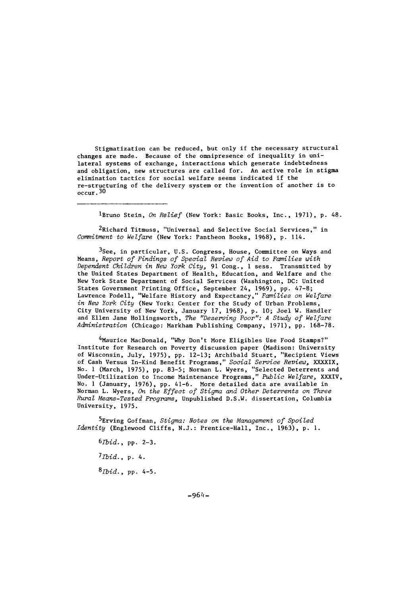Stigmatization can be reduced, but only if the necessary structural changes are made. Because of the omnipresence of inequality in unilateral systems of exchange, interactions which generate indebtedness and obligation, new structures are called for. An active role in stigma elimination tactics for social welfare seems indicated if the re-structuring of the delivery system or the invention of another is to  $occur. 30$ 

<sup>l</sup>Bruno Stein, *On Relief* (New York: Basic Books, Inc., 1971), p. 48.

,<br><sup>2</sup>Richard Titmuss, "Universal and Selective Social Services," in Commitment to Welfare (New York: Pantheon Books, 1968), **p.** 114.

3See, in particular, U.S. Congress, House, Committee on Ways and Means, Report of Findings of Special Review of Aid to Families with Dependent Children in New York City, 91 Cong., 1 sess. Transmitted by the United States Department of Health, Education, and Welfare and the New York State Department of Social Services (Washington, DC: United States Government Printing Office, September 24, 1969), pp. 47-8; Lawrence Podell, "Welfare History and Expectancy," Families on Welfare in New York City (New York: Center for the Study of Urban Problems, City University of New York, January 17, 1968), p. **10;** Joel W. Handler and Ellen Jane Hollingsworth, The "Deserving Poor": A Study of Welfare Administration (Chicago: Markham Publishing Company, 1971), pp. 168-78.

.<br>Maurice MacDonald, "Why Don't More Eligibles Use Food Stamps?" Institute for Research on Poverty discussion paper (Madison: University of Wisconsin, July, 1975), pp. 12-13; Archibald Stuart, "Recipient Views of Cash Versus In-Kind Benefit Programs," Social Service Review, XXXXIX, No. **I** (March, 1975), pp. 83-5; Norman L. Wyers, "Selected Deterrents and Under-Utilization to Income Maintenance Programs," Public Welfare, XXXIV, No. 1 (January, 1976), pp. 41-6. More detailed data are available in Norman L. Wyers, On the Effect of Stigma and Other Deterrents on Three Rural Means-Tested Programs, Unpublished D.S.W. dissertation, Columbia University, 1975.

<sup>5</sup>Erving Goffman, Stigma: Notes on the Management of Spoiled Identity (Englewood Cliffs, N.J.: Prentice-Hall, Inc., 1963), p. **1.**

 $6Ibid., pp. 2-3.$ 

 $7$ *Ibid.*, p. 4.

 $8$ *Ibid.*, pp. 4-5.

**-964-**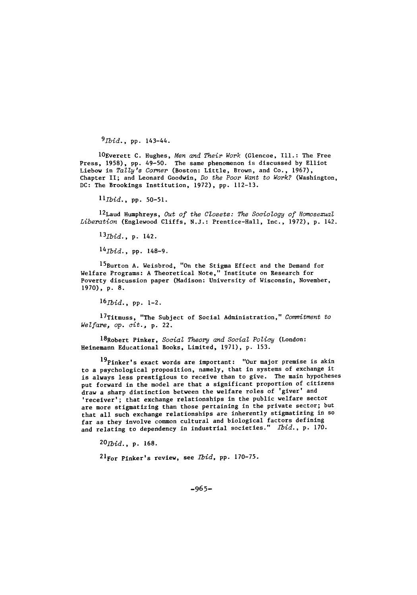$9$ *Ibid.*, pp. 143-44.

lOEverett C. Hughes, Men and Their Work (Glencoe, Ill.: The Free Press, 1958), pp. 49-50. The same phenomenon is discussed by Elliot Liebow in Tally's Corner (Boston: Little, Brown, and Co., 1967), Chapter II; and Leonard Goodwin, Do the Poor Want to Work? (Washington, DC: The Brookings Institution, 1972), pp. 112-13.

llbid., pp. 50-51.

12Laud Humphreys, Out of the Closets: The Sociology of Homosexual Liberation (Englewood Cliffs, N.J.: Prentice-Hall, Inc., 1972), p. 142.

13<sub>Ibid.</sub>, p. 142.

 $14$ *Tbid.*, pp. 148-9.

15Burton A. Weisbrod, "On the Stigma Effect and the Demand for Welfare Programs: A Theoretical Note," Institute on Research for Poverty discussion paper (Madison: University of Wisconsin, November, 1970), p. **8.**

*16Ibid.,* pp. 1-2.

17Titmuss, "The Subject of Social Administration," *Commitment to* Welfare, op. cit., p. 22.

<sup>1</sup> 8Robert Pinker, *Social Theory and Social Policy* (London: Heinemann Educational Books, Limited, 1971), p. 153.

19 Pinker's exact words are important: "Our major premise is akin to a psychological proposition, namely, that in systems of exchange it is always less prestigious to receive than to give. The main hypotheses put forward in the model are that a significant proportion of citizens draw a sharp distinction between the welfare roles of 'giver' and 'receiver'; that exchange relationships in the public welfare sector are more stigmatizing than those pertaining in the private sector; but that all such exchange relationships are inherently stigmatizing in **so** far as they involve common cultural and biological factors defining and relating to dependency in industrial societies." Ibid., p. 170.

 $20$ *Ibid.*, p. 168.

.<br><sup>21</sup>For Pinker's review, see *Ibid*, pp. 170-75.

*-965-*